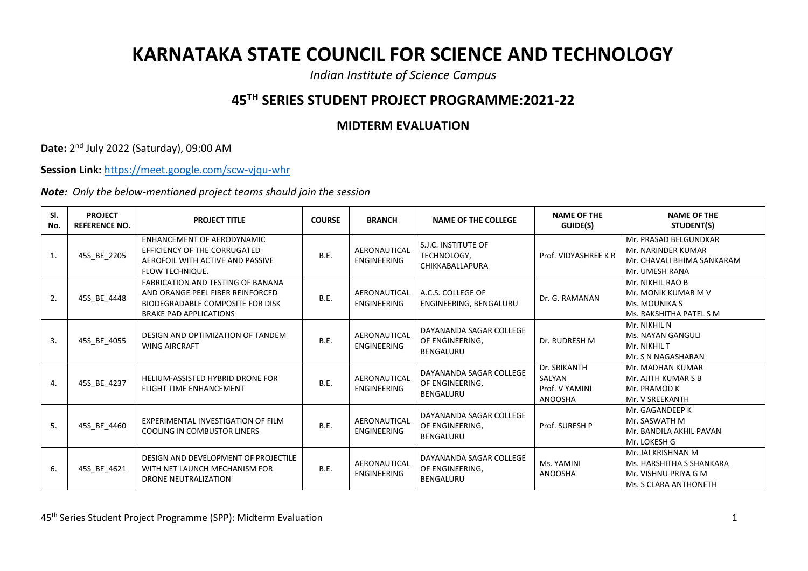## **KARNATAKA STATE COUNCIL FOR SCIENCE AND TECHNOLOGY**

*Indian Institute of Science Campus*

## **45TH SERIES STUDENT PROJECT PROGRAMME:2021-22**

## **MIDTERM EVALUATION**

**Date:** 2 nd July 2022 (Saturday), 09:00 AM

**Session Link:** <https://meet.google.com/scw-vjqu-whr>

*Note: Only the below-mentioned project teams should join the session*

| SI.<br>No.   | <b>PROJECT</b><br><b>REFERENCE NO.</b> | <b>PROJECT TITLE</b>                                                                                                                              | <b>COURSE</b> | <b>BRANCH</b>                      | <b>NAME OF THE COLLEGE</b>                                     | <b>NAME OF THE</b><br>GUIDE(S)                             | <b>NAME OF THE</b><br>STUDENT(S)                                                                |
|--------------|----------------------------------------|---------------------------------------------------------------------------------------------------------------------------------------------------|---------------|------------------------------------|----------------------------------------------------------------|------------------------------------------------------------|-------------------------------------------------------------------------------------------------|
| $\mathbf{1}$ | 45S_BE_2205                            | ENHANCEMENT OF AERODYNAMIC<br>EFFICIENCY OF THE CORRUGATED<br>AEROFOIL WITH ACTIVE AND PASSIVE<br><b>FLOW TECHNIQUE.</b>                          | <b>B.E.</b>   | AERONAUTICAL<br><b>ENGINEERING</b> | S.J.C. INSTITUTE OF<br>TECHNOLOGY,<br>CHIKKABALLAPURA          | Prof. VIDYASHREE KR                                        | Mr. PRASAD BELGUNDKAR<br>Mr. NARINDER KUMAR<br>Mr. CHAVALI BHIMA SANKARAM<br>Mr. UMESH RANA     |
| 2.           | 45S_BE_4448                            | <b>FABRICATION AND TESTING OF BANANA</b><br>AND ORANGE PEEL FIBER REINFORCED<br>BIODEGRADABLE COMPOSITE FOR DISK<br><b>BRAKE PAD APPLICATIONS</b> | B.E.          | AERONAUTICAL<br><b>ENGINEERING</b> | A.C.S. COLLEGE OF<br>ENGINEERING, BENGALURU                    | Dr. G. RAMANAN                                             | Mr. NIKHIL RAO B<br>Mr. MONIK KUMAR M V<br><b>Ms. MOUNIKA S</b><br>Ms. RAKSHITHA PATEL S M      |
| 3.           | 45S_BE_4055                            | DESIGN AND OPTIMIZATION OF TANDEM<br><b>WING AIRCRAFT</b>                                                                                         | <b>B.E.</b>   | AERONAUTICAL<br><b>ENGINEERING</b> | DAYANANDA SAGAR COLLEGE<br>OF ENGINEERING,<br><b>BENGALURU</b> | Dr. RUDRESH M                                              | Mr. NIKHIL N<br><b>Ms. NAYAN GANGULI</b><br>Mr. NIKHIL T<br>Mr. S N NAGASHARAN                  |
| 4.           | 45S_BE_4237                            | HELIUM-ASSISTED HYBRID DRONE FOR<br><b>FLIGHT TIME ENHANCEMENT</b>                                                                                | <b>B.E.</b>   | AERONAUTICAL<br>ENGINEERING        | DAYANANDA SAGAR COLLEGE<br>OF ENGINEERING,<br><b>BENGALURU</b> | Dr. SRIKANTH<br>SALYAN<br>Prof. V YAMINI<br><b>ANOOSHA</b> | Mr. MADHAN KUMAR<br>Mr. AJITH KUMAR S B<br>Mr. PRAMOD K<br>Mr. V SREEKANTH                      |
| 5.           | 45S_BE_4460                            | EXPERIMENTAL INVESTIGATION OF FILM<br><b>COOLING IN COMBUSTOR LINERS</b>                                                                          | B.E.          | AERONAUTICAL<br><b>ENGINEERING</b> | DAYANANDA SAGAR COLLEGE<br>OF ENGINEERING,<br><b>BENGALURU</b> | Prof. SURESH P                                             | Mr. GAGANDEEP K<br>Mr. SASWATH M<br>Mr. BANDILA AKHIL PAVAN<br>Mr. LOKESH G                     |
| 6.           | 45S BE 4621                            | DESIGN AND DEVELOPMENT OF PROJECTILE<br>WITH NET LAUNCH MECHANISM FOR<br>DRONE NEUTRALIZATION                                                     | B.E.          | AERONAUTICAL<br><b>ENGINEERING</b> | DAYANANDA SAGAR COLLEGE<br>OF ENGINEERING,<br><b>BENGALURU</b> | Ms. YAMINI<br><b>ANOOSHA</b>                               | Mr. JAI KRISHNAN M<br>Ms. HARSHITHA S SHANKARA<br>Mr. VISHNU PRIYA G M<br>Ms. S CLARA ANTHONETH |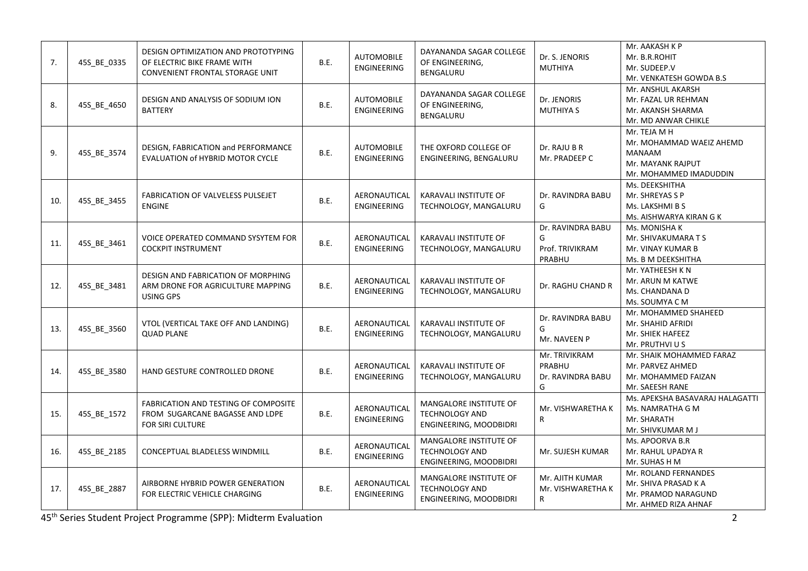| 7.  | 45S BE 0335 | DESIGN OPTIMIZATION AND PROTOTYPING<br>OF ELECTRIC BIKE FRAME WITH<br>CONVENIENT FRONTAL STORAGE UNIT | <b>B.E.</b> | <b>AUTOMOBILE</b><br><b>ENGINEERING</b> | DAYANANDA SAGAR COLLEGE<br>OF ENGINEERING,<br>BENGALURU                   | Dr. S. JENORIS<br><b>MUTHIYA</b>                    | Mr. AAKASH K P<br>Mr. B.R.ROHIT<br>Mr. SUDEEP.V<br>Mr. VENKATESH GOWDA B.S                        |
|-----|-------------|-------------------------------------------------------------------------------------------------------|-------------|-----------------------------------------|---------------------------------------------------------------------------|-----------------------------------------------------|---------------------------------------------------------------------------------------------------|
| 8.  | 45S_BE_4650 | DESIGN AND ANALYSIS OF SODIUM ION<br><b>BATTERY</b>                                                   | <b>B.E.</b> | <b>AUTOMOBILE</b><br>ENGINEERING        | DAYANANDA SAGAR COLLEGE<br>OF ENGINEERING,<br>BENGALURU                   | Dr. JENORIS<br><b>MUTHIYA S</b>                     | Mr. ANSHUL AKARSH<br>Mr. FAZAL UR REHMAN<br>Mr. AKANSH SHARMA<br>Mr. MD ANWAR CHIKLE              |
| 9.  | 45S_BE_3574 | DESIGN, FABRICATION and PERFORMANCE<br>EVALUATION of HYBRID MOTOR CYCLE                               | <b>B.E.</b> | AUTOMOBILE<br><b>ENGINEERING</b>        | THE OXFORD COLLEGE OF<br>ENGINEERING, BENGALURU                           | Dr. RAJU B R<br>Mr. PRADEEP C                       | Mr. TEJA M H<br>Mr. MOHAMMAD WAEIZ AHEMD<br>MANAAM<br>Mr. MAYANK RAJPUT<br>Mr. MOHAMMED IMADUDDIN |
| 10. | 45S_BE_3455 | FABRICATION OF VALVELESS PULSEJET<br><b>ENGINE</b>                                                    | <b>B.E.</b> | AERONAUTICAL<br><b>ENGINEERING</b>      | <b>KARAVALI INSTITUTE OF</b><br>TECHNOLOGY, MANGALURU                     | Dr. RAVINDRA BABU<br>G                              | Ms. DEEKSHITHA<br>Mr. SHREYAS S P<br>Ms. LAKSHMI B S<br>Ms. AISHWARYA KIRAN G K                   |
| 11. | 45S_BE_3461 | VOICE OPERATED COMMAND SYSYTEM FOR<br><b>COCKPIT INSTRUMENT</b>                                       | B.E.        | AERONAUTICAL<br>ENGINEERING             | KARAVALI INSTITUTE OF<br>TECHNOLOGY, MANGALURU                            | Dr. RAVINDRA BABU<br>G<br>Prof. TRIVIKRAM<br>PRABHU | Ms. MONISHA K<br>Mr. SHIVAKUMARA T S<br>Mr. VINAY KUMAR B<br>Ms. B M DEEKSHITHA                   |
| 12. | 45S_BE_3481 | DESIGN AND FABRICATION OF MORPHING<br>ARM DRONE FOR AGRICULTURE MAPPING<br><b>USING GPS</b>           | <b>B.E.</b> | AERONAUTICAL<br><b>ENGINEERING</b>      | KARAVALI INSTITUTE OF<br>TECHNOLOGY, MANGALURU                            | Dr. RAGHU CHAND R                                   | Mr. YATHEESH K N<br>Mr. ARUN M KATWE<br>Ms. CHANDANA D<br>Ms. SOUMYA C M                          |
| 13. | 45S_BE_3560 | VTOL (VERTICAL TAKE OFF AND LANDING)<br><b>QUAD PLANE</b>                                             | <b>B.E.</b> | AERONAUTICAL<br><b>ENGINEERING</b>      | KARAVALI INSTITUTE OF<br>TECHNOLOGY, MANGALURU                            | Dr. RAVINDRA BABU<br>G<br>Mr. NAVEEN P              | Mr. MOHAMMED SHAHEED<br>Mr. SHAHID AFRIDI<br>Mr. SHIEK HAFEEZ<br>Mr. PRUTHVI U S                  |
| 14. | 45S_BE_3580 | HAND GESTURE CONTROLLED DRONE                                                                         | <b>B.E.</b> | AERONAUTICAL<br><b>ENGINEERING</b>      | KARAVALI INSTITUTE OF<br>TECHNOLOGY, MANGALURU                            | Mr. TRIVIKRAM<br>PRABHU<br>Dr. RAVINDRA BABU<br>G   | Mr. SHAIK MOHAMMED FARAZ<br>Mr. PARVEZ AHMED<br>Mr. MOHAMMED FAIZAN<br>Mr. SAEESH RANE            |
| 15. | 45S BE 1572 | <b>FABRICATION AND TESTING OF COMPOSITE</b><br>FROM SUGARCANE BAGASSE AND LDPE<br>FOR SIRI CULTURE    | <b>B.E.</b> | AERONAUTICAL<br><b>ENGINEERING</b>      | MANGALORE INSTITUTE OF<br><b>TECHNOLOGY AND</b><br>ENGINEERING, MOODBIDRI | Mr. VISHWARETHA K<br>R                              | Ms. APEKSHA BASAVARAJ HALAGATTI<br>Ms. NAMRATHA G M<br>Mr. SHARATH<br>Mr. SHIVKUMAR M J           |
| 16. | 45S_BE_2185 | CONCEPTUAL BLADELESS WINDMILL                                                                         | <b>B.E.</b> | AERONAUTICAL<br><b>ENGINEERING</b>      | MANGALORE INSTITUTE OF<br><b>TECHNOLOGY AND</b><br>ENGINEERING, MOODBIDRI | Mr. SUJESH KUMAR                                    | Ms. APOORVA B.R<br>Mr. RAHUL UPADYA R<br>Mr. SUHAS H M                                            |
| 17. | 45S_BE_2887 | AIRBORNE HYBRID POWER GENERATION<br>FOR ELECTRIC VEHICLE CHARGING                                     | <b>B.E.</b> | AERONAUTICAL<br><b>ENGINEERING</b>      | MANGALORE INSTITUTE OF<br><b>TECHNOLOGY AND</b><br>ENGINEERING, MOODBIDRI | Mr. AJITH KUMAR<br>Mr. VISHWARETHA K<br>R           | Mr. ROLAND FERNANDES<br>Mr. SHIVA PRASAD K A<br>Mr. PRAMOD NARAGUND<br>Mr. AHMED RIZA AHNAF       |

45th Series Student Project Programme (SPP): Midterm Evaluation 2